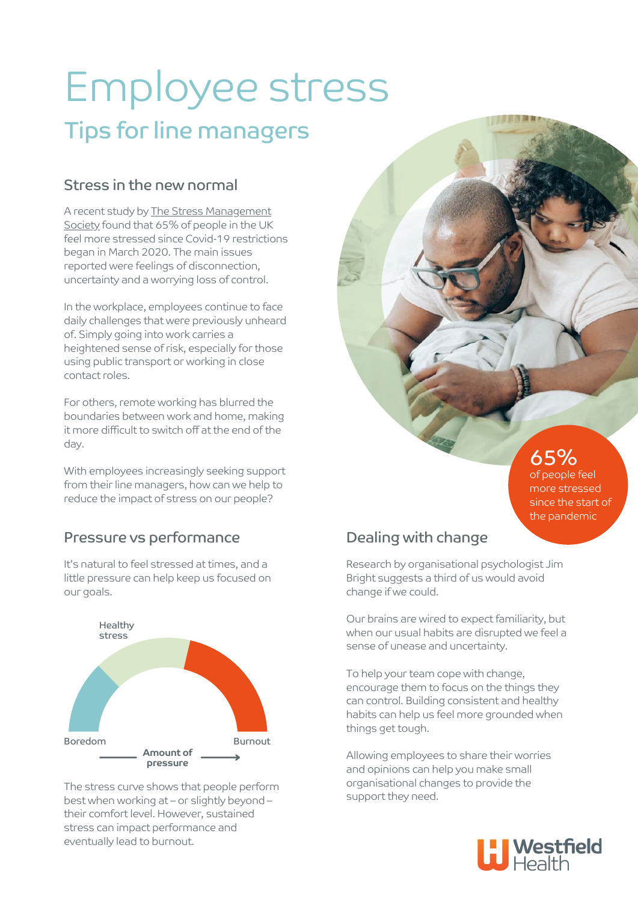# Employee stress Tips for line managers

#### Stress in the new normal

[A recent study by The Stress Management](https://www.wellbeing.work/blog/a-study-on-the-impact-of-stress-and-mental-health-as-a-result-of-the-pandemic/) Society found that 65% of people in the UK feel more stressed since Covid-19 restrictions began in March 2020. The main issues reported were feelings of disconnection, uncertainty and a worrying loss of control.

In the workplace, employees continue to face daily challenges that were previously unheard of. Simply going into work carries a heightened sense of risk, especially for those using public transport or working in close contact roles.

For others, remote working has blurred the boundaries between work and home, making it more difficult to switch off at the end of the day.

With employees increasingly seeking support from their line managers, how can we help to reduce the impact of stress on our people?

#### Pressure vs performance

It's natural to feel stressed at times, and a little pressure can help keep us focused on our goals.



The stress curve shows that people perform best when working at – or slightly beyond – their comfort level. However, sustained stress can impact performance and eventually lead to burnout.

#### Dealing with change

Research by organisational psychologist Jim Bright suggests a third of us would avoid change if we could.

Our brains are wired to expect familiarity, but when our usual habits are disrupted we feel a sense of unease and uncertainty.

To help your team cope with change, encourage them to focus on the things they can control. Building consistent and healthy habits can help us feel more grounded when things get tough.

Allowing employees to share their worries and opinions can help you make small organisational changes to provide the support they need.



65% of people feel more stressed since the start of the pandemic